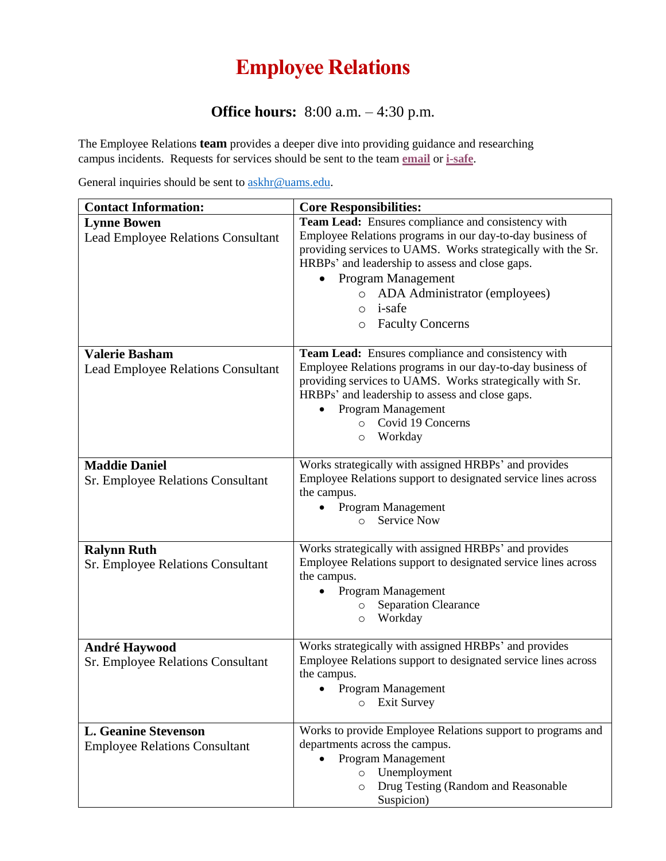## **Employee Relations**

## **Office hours:** 8:00 a.m. – 4:30 p.m.

The Employee Relations **team** provides a deeper dive into providing guidance and researching campus incidents. Requests for services should be sent to the team **[email](mailto:employeerelations@uams.edu)** or **[i-safe](https://apps.uams.edu/i-safe/default.aspx)**.

General inquiries should be sent to [askhr@uams.edu.](mailto:askhr@uams.edu)

| <b>Contact Information:</b>                                         | <b>Core Responsibilities:</b>                                                                                                                                                                                                                                                                              |
|---------------------------------------------------------------------|------------------------------------------------------------------------------------------------------------------------------------------------------------------------------------------------------------------------------------------------------------------------------------------------------------|
| <b>Lynne Bowen</b><br>Lead Employee Relations Consultant            | Team Lead: Ensures compliance and consistency with<br>Employee Relations programs in our day-to-day business of<br>providing services to UAMS. Works strategically with the Sr.<br>HRBPs' and leadership to assess and close gaps.<br>Program Management                                                   |
|                                                                     | ADA Administrator (employees)<br>$\circ$<br><i>i</i> -safe<br>$\Omega$<br><b>Faculty Concerns</b><br>$\circ$                                                                                                                                                                                               |
| <b>Valerie Basham</b><br><b>Lead Employee Relations Consultant</b>  | Team Lead: Ensures compliance and consistency with<br>Employee Relations programs in our day-to-day business of<br>providing services to UAMS. Works strategically with Sr.<br>HRBPs' and leadership to assess and close gaps.<br>Program Management<br>Covid 19 Concerns<br>$\circ$<br>Workday<br>$\circ$ |
| <b>Maddie Daniel</b><br><b>Sr. Employee Relations Consultant</b>    | Works strategically with assigned HRBPs' and provides<br>Employee Relations support to designated service lines across<br>the campus.<br>Program Management<br><b>Service Now</b><br>$\circ$                                                                                                               |
| <b>Ralynn Ruth</b><br><b>Sr. Employee Relations Consultant</b>      | Works strategically with assigned HRBPs' and provides<br>Employee Relations support to designated service lines across<br>the campus.<br>Program Management<br><b>Separation Clearance</b><br>$\circ$<br>Workday<br>$\circ$                                                                                |
| <b>André Haywood</b><br>Sr. Employee Relations Consultant           | Works strategically with assigned HRBPs' and provides<br>Employee Relations support to designated service lines across<br>the campus.<br>Program Management<br><b>Exit Survey</b><br>$\circ$                                                                                                               |
| <b>L. Geanine Stevenson</b><br><b>Employee Relations Consultant</b> | Works to provide Employee Relations support to programs and<br>departments across the campus.<br>Program Management<br>Unemployment<br>$\circ$<br>Drug Testing (Random and Reasonable<br>$\circ$<br>Suspicion)                                                                                             |